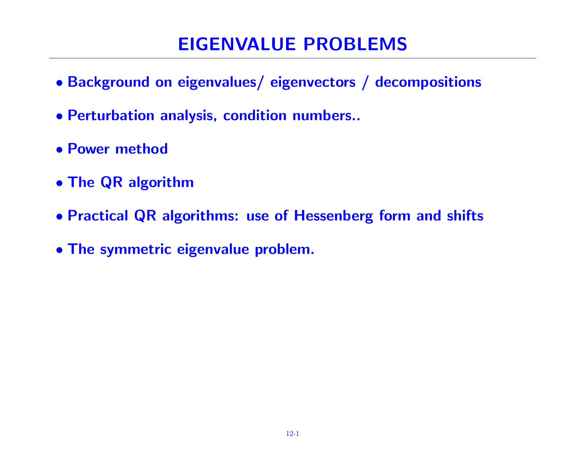# EIGENVALUE PROBLEMS

- Background on eigenvalues/ eigenvectors / decompositions
- Perturbation analysis, condition numbers..
- Power method
- The QR algorithm
- Practical QR algorithms: use of Hessenberg form and shifts
- The symmetric eigenvalue problem.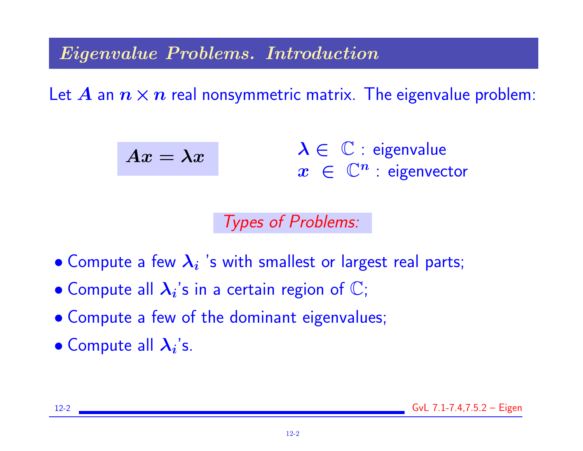Eigenvalue Problems. Introduction

Let A an  $n \times n$  real nonsymmetric matrix. The eigenvalue problem:

$$
Ax = \lambda x \qquad \qquad \lambda \in \mathbb{C} : \text{ eigenvalue} \\ x \in \mathbb{C}^n : \text{ eigenvector}
$$

Types of Problems:

- $\bullet$  Compute a few  $\lambda_i$  's with smallest or largest real parts;
- $\bullet$  Compute all  $\lambda_i$ 's in a certain region of  $\mathbb C;$
- Compute a few of the dominant eigenvalues;
- Compute all  $\lambda_i$ 's.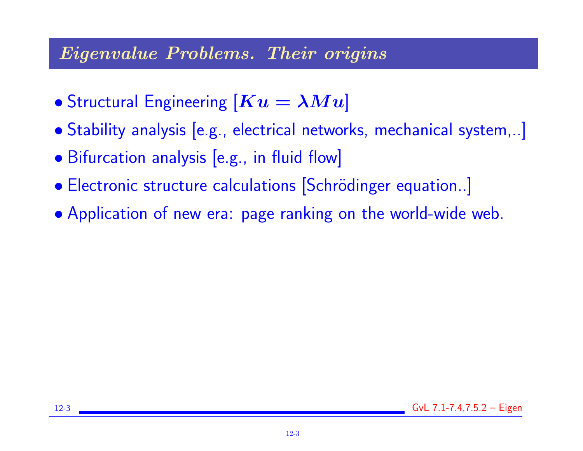### Eigenvalue Problems. Their origins

- Structural Engineering  $[Ku = \lambda Mu]$
- Stability analysis [e.g., electrical networks, mechanical system,..]
- Bifurcation analysis [e.g., in fluid flow]
- Electronic structure calculations [Schrödinger equation..]
- Application of new era: page ranking on the world-wide web.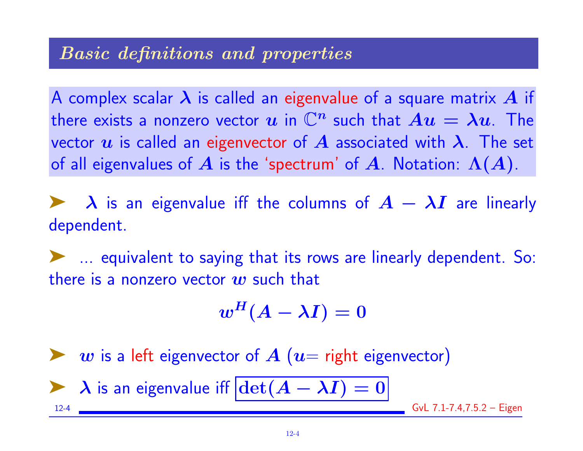#### Basic definitions and properties

A complex scalar  $\lambda$  is called an eigenvalue of a square matrix  $A$  if there exists a nonzero vector  $u$  in  $\mathbb{C}^n$  such that  $Au = \lambda u$ . The vector u is called an eigenvector of A associated with  $\lambda$ . The set of all eigenvalues of A is the 'spectrum' of A. Notation:  $\Lambda(A)$ .

 $\lambda$  is an eigenvalue iff the columns of  $A - \lambda I$  are linearly dependent.

➤ ... equivalent to saying that its rows are linearly dependent. So: there is a nonzero vector  $w$  such that

$$
w^H(A-\lambda I)=0
$$

w is a left eigenvector of  $A$  ( $u=$  right eigenvector)

$$
\lambda \text{ is an eigenvalue iff } \boxed{\det(A - \lambda I) = 0}
$$

 $GvL$  7.1-7.4,7.5.2 – Eigen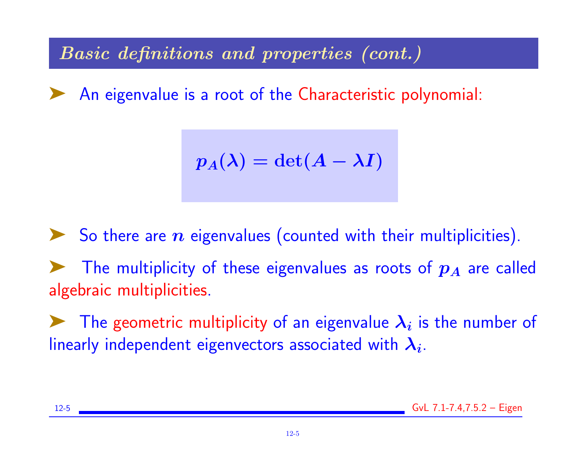Basic definitions and properties (cont.)

An eigenvalue is a root of the Characteristic polynomial:

$$
p_A(\lambda) = \det(A - \lambda I)
$$

 $\blacktriangleright$  So there are  $n$  eigenvalues (counted with their multiplicities). The multiplicity of these eigenvalues as roots of  $p_A$  are called algebraic multiplicities.

The geometric multiplicity of an eigenvalue  $\lambda_i$  is the number of linearly independent eigenvectors associated with  $\boldsymbol{\lambda_i}.$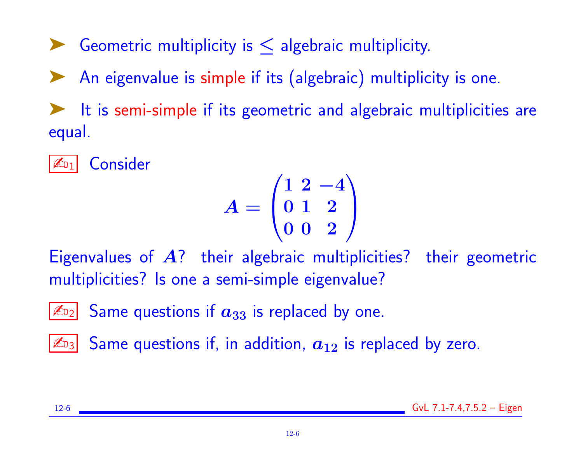Geometric multiplicity is  $\leq$  algebraic multiplicity.

An eigenvalue is simple if its (algebraic) multiplicity is one.

It is semi-simple if its geometric and algebraic multiplicities are equal.

✍<sup>1</sup> Consider

$$
A = \begin{pmatrix} 1 & 2 & -4 \\ 0 & 1 & 2 \\ 0 & 0 & 2 \end{pmatrix}
$$

Eigenvalues of  $A$ ? their algebraic multiplicities? their geometric multiplicities? Is one a semi-simple eigenvalue?



 $\mathbb{Z}_{3}$  Same questions if, in addition,  $\boldsymbol{a}_{12}$  is replaced by zero.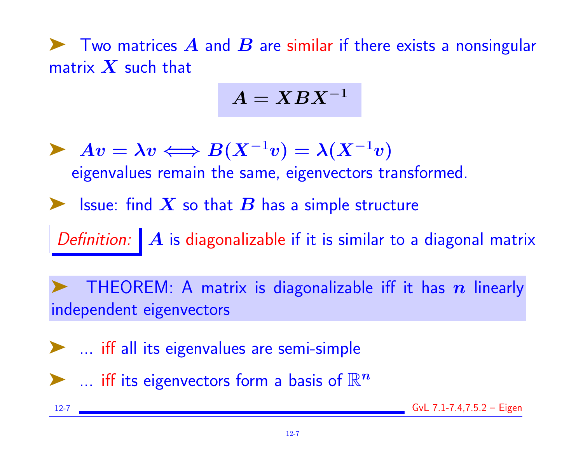$\blacktriangleright$  Two matrices  $A$  and  $B$  are similar if there exists a nonsingular matrix  $X$  such that

$$
A = XBX^{-1}
$$

 $\blacktriangleright \; Av = \lambda v \Longleftrightarrow B(X^{-1}v) = \lambda (X^{-1}v)$ eigenvalues remain the same, eigenvectors transformed.

So Issue: find  $X$  so that  $B$  has a simple structure

Definition:  $\mathbf{A}$  is diagonalizable if it is similar to a diagonal matrix

THEOREM: A matrix is diagonalizable iff it has  $n$  linearly independent eigenvectors

➤ ... iff all its eigenvalues are semi-simple

 $\blacktriangleright$  ... iff its eigenvectors form a basis of  $\mathbb{R}^n$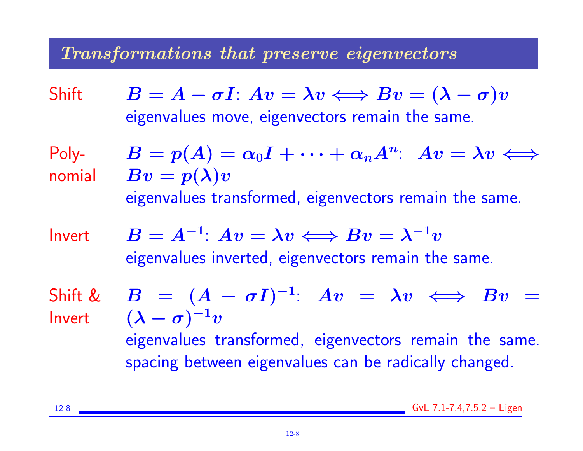# Transformations that preserve eigenvectors

Shift  $B = A - \sigma I$ :  $Av = \lambda v \Longleftrightarrow Bv = (\lambda - \sigma)v$ eigenvalues move, eigenvectors remain the same.

Polynomial

$$
B = p(A) = \alpha_0 I + \dots + \alpha_n A^n
$$
:  $Av = \lambda v \iff$   

$$
Bv = p(\lambda)v
$$
  
eigenvalues transformed, eigenvectors remain the same.

 $Invert$   $B$ 

$$
B = A^{-1}: Av = \lambda v \Longleftrightarrow Bv = \lambda^{-1}v
$$
  
eigenvalues inverted, eigenvectors remain the same.

Shift & Invert

$$
B = (A - \sigma I)^{-1}: Av = \lambda v \iff Bv =
$$
  

$$
(\lambda - \sigma)^{-1}v
$$
  
eigenvalues transformed, eigenvectors remain the same.  
spacing between eigenvalues can be radically changed.

12-8 GvL 7.1-7.4,7.5.2 – Eigen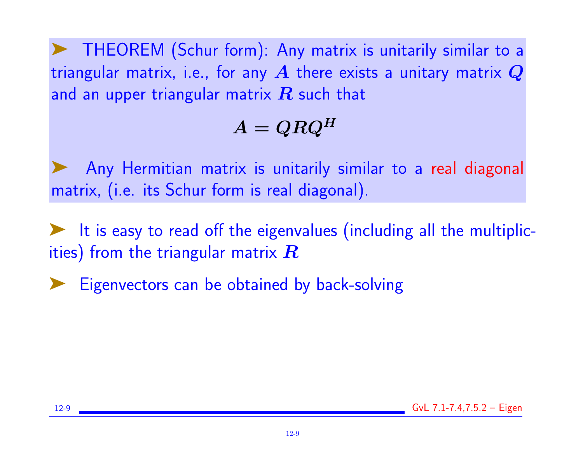➤ THEOREM (Schur form): Any matrix is unitarily similar to a triangular matrix, i.e., for any  $A$  there exists a unitary matrix  $Q$ and an upper triangular matrix  $\boldsymbol{R}$  such that

# $A = QRQ^H$

Any Hermitian matrix is unitarily similar to a real diagonal matrix, (i.e. its Schur form is real diagonal).

➤ It is easy to read off the eigenvalues (including all the multiplicities) from the triangular matrix  $\boldsymbol{R}$ 

Eigenvectors can be obtained by back-solving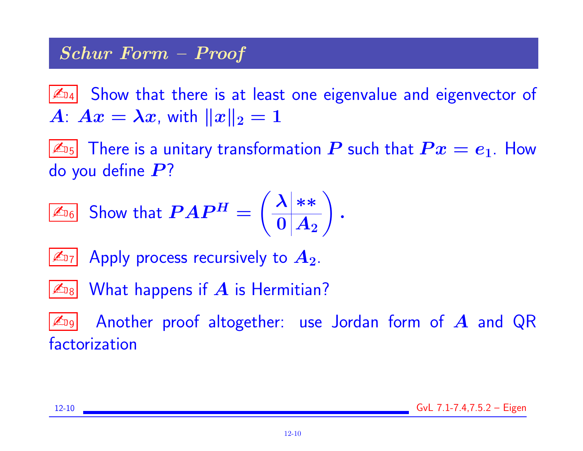# Schur Form – Proof

 $\mathbb{Z}_{94}$  Show that there is at least one eigenvalue and eigenvector of  $A: Ax = \lambda x$ , with  $||x||_2 = 1$ 

 $|\mathbb{Z}_{^{15}}|$  There is a unitary transformation  $\bm{P}$  such that  $\bm{P} \bm{x} = \bm{e}_1$ . How do you define  $P$ ?

$$
\boxed{\mathbb{Z}_{\mathbb{I}_6}}\text{ Show that }PAP^H=\left(\frac{\lambda|**}{0|A_2}\right).
$$

 $\mathbb{Z}_{7}$  Apply process recursively to  $A_2$ .

 $\mathbb{Z}_{\scriptscriptstyle\mathrm{B8}}$  What happens if  $A$  is Hermitian?

 $\mathbb{Z}_{9}$  Another proof altogether: use Jordan form of  $A$  and QR factorization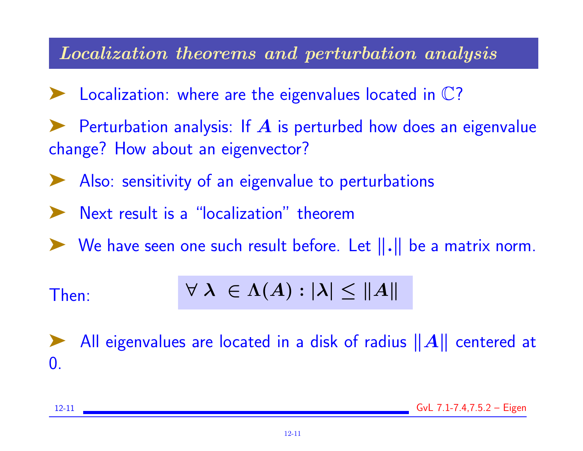### Localization theorems and perturbation analysis

- $\blacktriangleright$  Localization: where are the eigenvalues located in  $\mathbb{C}$ ?
- Perturbation analysis: If  $\boldsymbol{A}$  is perturbed how does an eigenvalue change? How about an eigenvector?
- ◆ Also: sensitivity of an eigenvalue to perturbations
- Next result is a "localization" theorem
- $\blacktriangleright$  We have seen one such result before. Let  $\|\cdot\|$  be a matrix norm.

Then: 
$$
\forall \lambda \in \Lambda(A) : |\lambda| \leq ||A||
$$

All eigenvalues are located in a disk of radius  $||A||$  centered at 0.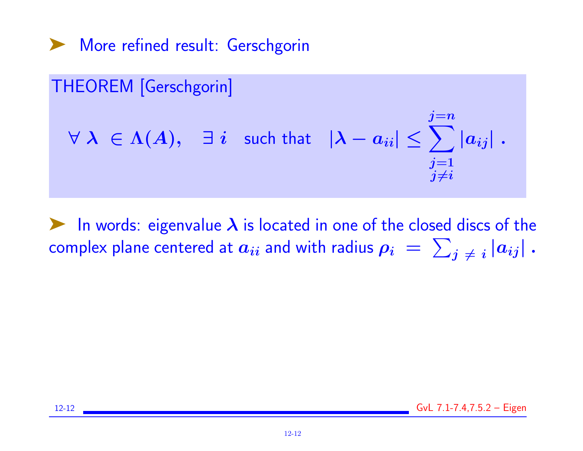➤ More refined result: Gerschgorin

# THEOREM [Gerschgorin]  $\forall \; \lambda \; \in \Lambda(A), \quad \exists \; i \; \; \text{ such that } \; \; \vert \lambda - a_{ii} \vert \leq \sum \vert a_{ij} \vert \; .$  $j=n$  $j=1$  $j{\neq}i$

In words: eigenvalue  $\lambda$  is located in one of the closed discs of the complex plane centered at  $a_{ii}$  and with radius  $\rho_i\,=\,\sum_{j\,\neq\,i}\left|a_{ij}\right|$  .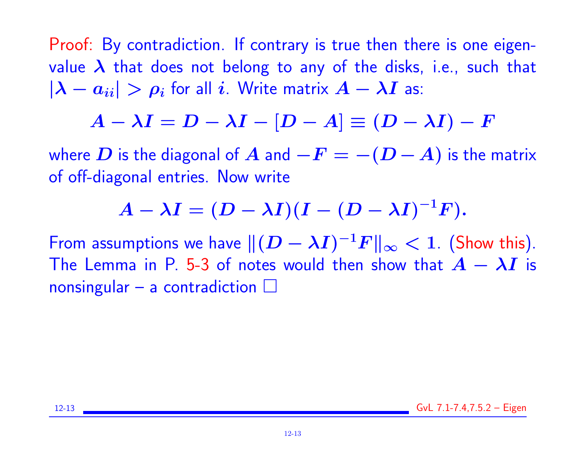Proof: By contradiction. If contrary is true then there is one eigenvalue  $\lambda$  that does not belong to any of the disks, i.e., such that  $|\lambda - a_{ii}| > \rho_i$  for all i. Write matrix  $A - \lambda I$  as:

$$
A - \lambda I = D - \lambda I - [D - A] \equiv (D - \lambda I) - F
$$

where  $D$  is the diagonal of  $A$  and  $-F = -(D - A)$  is the matrix of off-diagonal entries. Now write

$$
A-\lambda I=(D-\lambda I)(I-(D-\lambda I)^{-1}F).
$$

From assumptions we have  $\| (D - \lambda I)^{-1} F \|_\infty < 1$ . (Show this). The Lemma in P. 5-3 of notes would then show that  $A - \lambda I$  is nonsingular – a contradiction  $\square$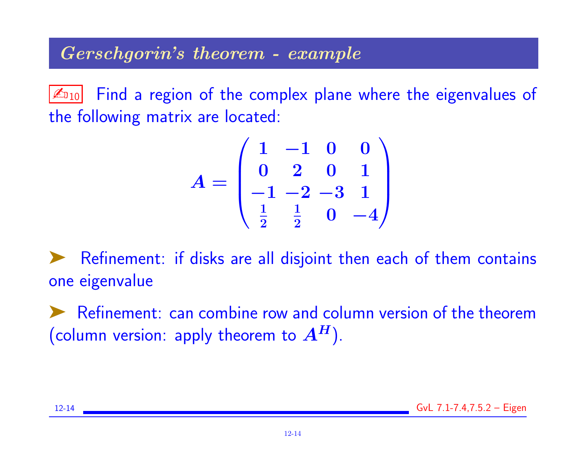# Gerschgorin's theorem - example

 $\mathbb{Z}_{10}$  Find a region of the complex plane where the eigenvalues of the following matrix are located:

$$
A = \begin{pmatrix} 1 & -1 & 0 & 0 \\ 0 & 2 & 0 & 1 \\ -1 & -2 & -3 & 1 \\ \frac{1}{2} & \frac{1}{2} & 0 & -4 \end{pmatrix}
$$

Refinement: if disks are all disjoint then each of them contains one eigenvalue

Refinement: can combine row and column version of the theorem (column version: apply theorem to  $A<sup>H</sup>$ ).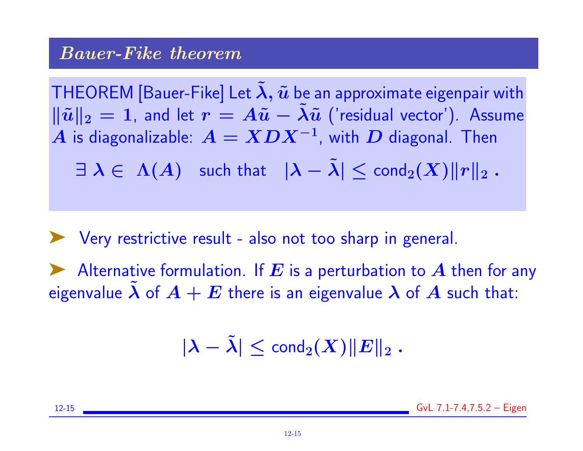#### Bauer-Fike theorem

THEOREM [Bauer-Fike] Let  $\tilde{\lambda}$ ,  $\tilde{u}$  be an approximate eigenpair with  $\|\tilde{u}\|_2 = 1$ , and let  $r = A\tilde{u} - \lambda \tilde{u}$  ('residual vector'). Assume  $\boldsymbol{A}$  is diagonalizable:  $\boldsymbol{A} = \boldsymbol{X}\boldsymbol{D}\boldsymbol{X}^{-1}$ , with  $\boldsymbol{D}$  diagonal. Then

 $\exists \lambda \in \Lambda(A)$  such that  $|\lambda - \tilde{\lambda}| \leq \text{cond}_2(X) ||r||_2$ .

◆ Very restrictive result - also not too sharp in general. Alternative formulation. If E is a perturbation to A then for any eigenvalue  $\lambda$  of  $A + E$  there is an eigenvalue  $\lambda$  of  $A$  such that:

 $|\lambda - \tilde{\lambda}| \leq \text{cond}_2(X) ||E||_2$ .

12-15 GvL 7.1-7.4,7.5.2 – Eigen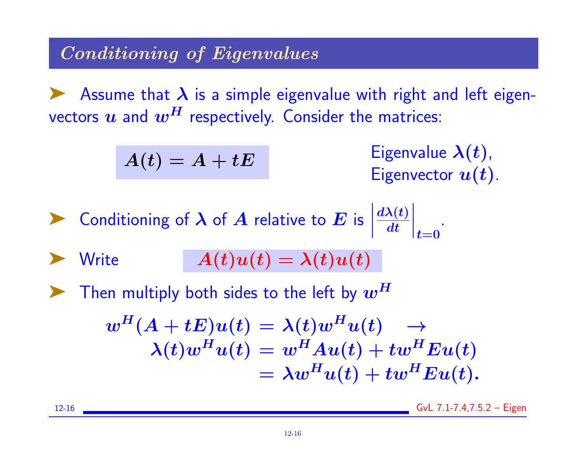# Conditioning of Eigenvalues

Assume that  $\lambda$  is a simple eigenvalue with right and left eigenvectors  $u$  and  $w<sup>H</sup>$  respectively. Consider the matrices:

$$
A(t)=A+tE
$$

Eigenvalue  $\lambda(t)$ , Eigenvector  $u(t)$ .

**1** Conditioning of 
$$
\lambda
$$
 of  $A$  relative to  $E$  is  $\left| \frac{d\lambda(t)}{dt} \right|_{t=0}$ .

$$
\blacktriangleright \text{ Write } A(t)u(t) = \lambda(t)u(t)
$$

Then multiply both sides to the left by  $\bm{w^H}$ 

$$
w^{H}(A + tE)u(t) = \lambda(t)w^{H}u(t) \rightarrow
$$
  

$$
\lambda(t)w^{H}u(t) = w^{H}Au(t) + tw^{H}Eu(t)
$$
  

$$
= \lambda w^{H}u(t) + tw^{H}Eu(t).
$$

12-16 GvL 7.1-7.4,7.5.2 – Eigen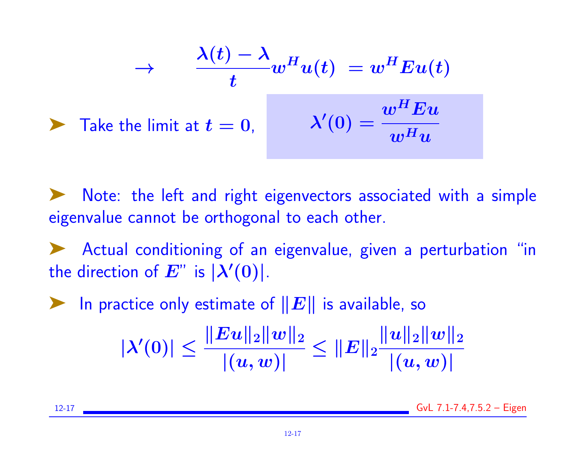$$
\rightarrow \frac{\lambda(t) - \lambda}{t} w^H u(t) = w^H E u(t)
$$
  
\n
$$
\rightarrow \text{Take the limit at } t = 0, \qquad \lambda'(0) = \frac{w^H E u}{w^H u}
$$

Note: the left and right eigenvectors associated with a simple eigenvalue cannot be orthogonal to each other.

➤ Actual conditioning of an eigenvalue, given a perturbation "in the direction of  $E^{\prime\prime}$  is  $|\lambda'(0)|$ .

ighthroup In practice only estimate of  $||E||$  is available, so

$$
|\lambda'(0)|\leq \frac{\|Eu\|_2\|w\|_2}{|(u,w)|}\leq \|E\|_2\frac{\|u\|_2\|w\|_2}{|(u,w)|}
$$

12-17 GvL 7.1-7.4,7.5.2 – Eigen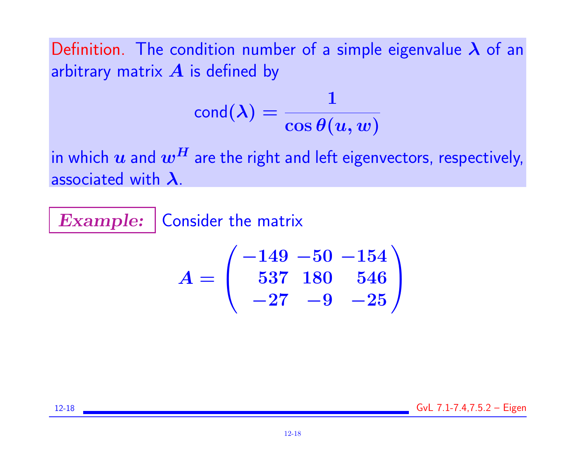Definition. The condition number of a simple eigenvalue  $\lambda$  of an arbitrary matrix  $\boldsymbol{A}$  is defined by

$$
\mathsf{cond}(\boldsymbol{\lambda}) = \frac{1}{\cos\theta(u,w)}
$$

in which  $u$  and  $w^H$  are the right and left eigenvectors, respectively, associated with  $\lambda$ .

Example: | Consider the matrix

$$
A=\left(\begin{array}{ccc}-149&-50&-154\\537&180&546\\-27&-9&-25\end{array}\right)
$$

12-18 GvL 7.1-7.4,7.5.2 – Eigen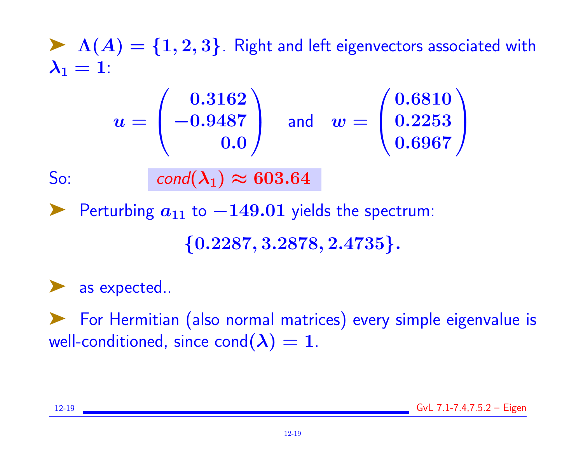$\blacktriangleright$   $\Lambda(A) = \{1, 2, 3\}$ . Right and left eigenvectors associated with  $\lambda_1 = 1$ :

$$
u = \begin{pmatrix} 0.3162 \\ -0.9487 \\ 0.0 \end{pmatrix} \quad \text{and} \quad w = \begin{pmatrix} 0.6810 \\ 0.2253 \\ 0.6967 \end{pmatrix}
$$

So: cond $(\lambda_1) \approx 603.64$ 

► Perturbing  $a_{11}$  to  $-149.01$  yields the spectrum:

 $\{0.2287, 3.2878, 2.4735\}.$ 

▶ as expected..

➤ For Hermitian (also normal matrices) every simple eigenvalue is well-conditioned, since  $cond(\lambda) = 1$ .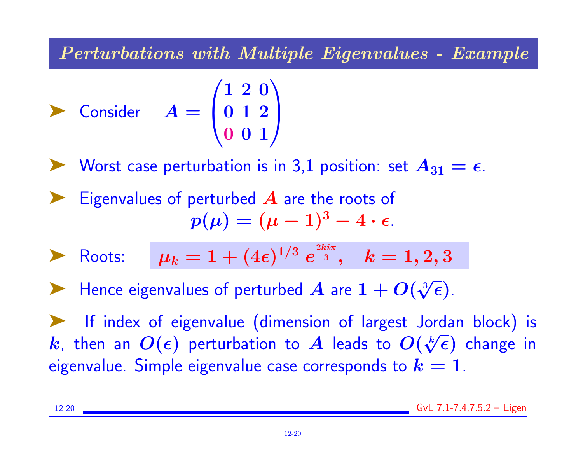Perturbations with Multiple Eigenvalues - Example

$$
\sum \text{Consider} \quad A = \begin{pmatrix} 1 & 2 & 0 \\ 0 & 1 & 2 \\ 0 & 0 & 1 \end{pmatrix}
$$

► Worst case perturbation is in 3,1 position: set  $A_{31} = \epsilon$ .

Eigenvalues of perturbed  $\boldsymbol{A}$  are the roots of  $p(\mu) = (\mu - 1)^3 - 4 \cdot \epsilon.$ 

**Roots:** 
$$
\mu_k = 1 + (4\epsilon)^{1/3} e^{\frac{2ki\pi}{3}}, \quad k = 1, 2, 3
$$

 $\blacktriangleright$  Hence eigenvalues of perturbed  $\bm{A}$  are  $1 + \bm{O}(n)$  $\frac{3}{4}$  $\overline{\epsilon})$ .

➤ If index of eigenvalue (dimension of largest Jordan block) is  $\bm{k}$ , then an  $\bm{O}(\bm{\epsilon})$  perturbation to  $\bm{A}$  leads to  $\bm{O}(t)$  $\frac{C}{k}$  $\overline{\epsilon}$ ) change in eigenvalue. Simple eigenvalue case corresponds to  $k = 1$ .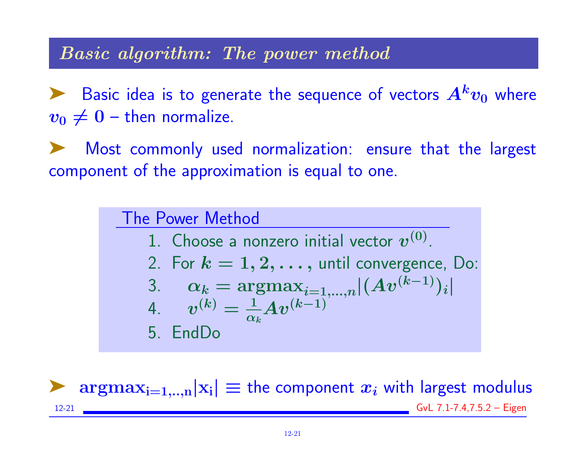#### Basic algorithm: The power method

Basic idea is to generate the sequence of vectors  $A^k v_0$  where  $v_0 \neq 0$  – then normalize.

Most commonly used normalization: ensure that the largest component of the approximation is equal to one.

> The Power Method 1. Choose a nonzero initial vector  $\boldsymbol{v}^{(0)}$ . 2. For  $k = 1, 2, \ldots$ , until convergence, Do: 3.  $\alpha_k = \text{argmax}_{i=1,...,n} |(Av^{(k-1)})_i|$ 4.  $v^{(k)} = \frac{1}{\alpha}$  $\alpha_k$  $A v^{(k-1)}$ 5. EndDo

 $\arg \max_{i=1,...,n}|x_i| \equiv$  the component  $x_i$  with largest modulus 12-21 GvL 7.1-7.4,7.5.2 – Eigen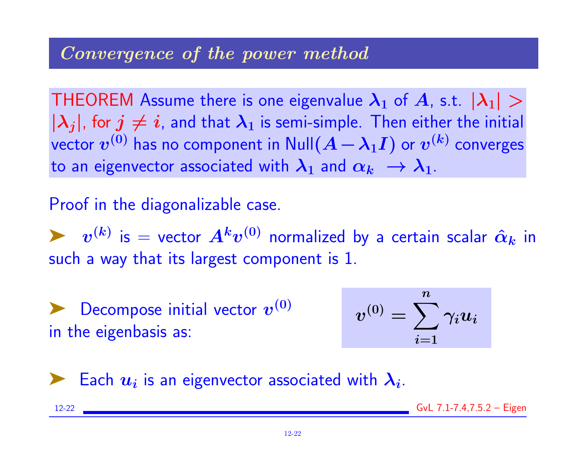#### Convergence of the power method

THEOREM Assume there is one eigenvalue  $\lambda_1$  of A, s.t.  $|\lambda_1| >$  $|\lambda_i|$ , for  $j \neq i$ , and that  $\lambda_1$  is semi-simple. Then either the initial vector  $\boldsymbol{v^{(0)}}$  has no component in  $\mathsf{Null}(\boldsymbol{A}-\boldsymbol{\lambda_1 I})$  or  $\boldsymbol{v^{(k)}}$  converges to an eigenvector associated with  $\lambda_1$  and  $\alpha_k \to \lambda_1$ .

#### Proof in the diagonalizable case.

 $\blacktriangleright\hspace{0.4cm} \bm{v}^{(k)}$  is  $=$  vector  $\bm{A^k}\bm{v}^{(0)}$  normalized by a certain scalar  $\hat{\bm{\alpha}}_{\bm{k}}$  in such a way that its largest component is 1.

 $\blacktriangleright$  Decompose initial vector  $\boldsymbol{v}^{(0)}$ in the eigenbasis as:

$$
v^{(0)}=\sum_{i=1}^n \gamma_i u_i
$$



Each  $u_i$  is an eigenvector associated with  $\lambda_i$ .

12-22 GvL 7.1-7.4,7.5.2 – Eigen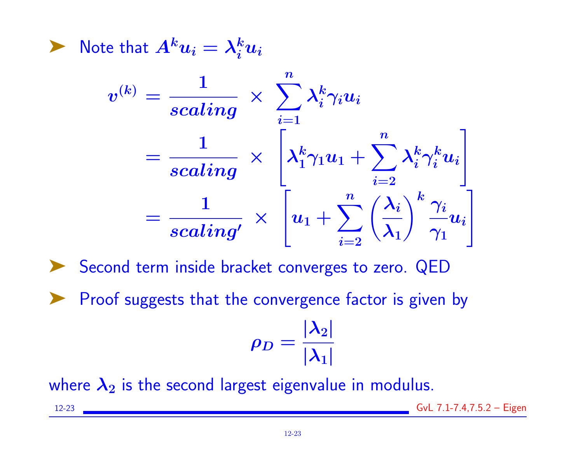$\blacktriangleright$  Note that  $A^ku_i=\lambda_i^ku_i$ 

$$
v^{(k)} = \frac{1}{scaling} \times \sum_{i=1}^{n} \lambda_i^k \gamma_i u_i
$$
  
= 
$$
\frac{1}{scaling} \times \left[ \lambda_1^k \gamma_1 u_1 + \sum_{i=2}^{n} \lambda_i^k \gamma_i^k u_i \right]
$$
  
= 
$$
\frac{1}{scaling} \times \left[ u_1 + \sum_{i=2}^{n} \left( \frac{\lambda_i}{\lambda_1} \right)^k \frac{\gamma_i}{\gamma_1} u_i \right]
$$

➤ Second term inside bracket converges to zero. QED

▶ Proof suggests that the convergence factor is given by

$$
\rho_D=\frac{|\lambda_2|}{|\lambda_1|}
$$

where  $\lambda_2$  is the second largest eigenvalue in modulus.

12-23 GvL 7.1-7.4,7.5.2 – Eigen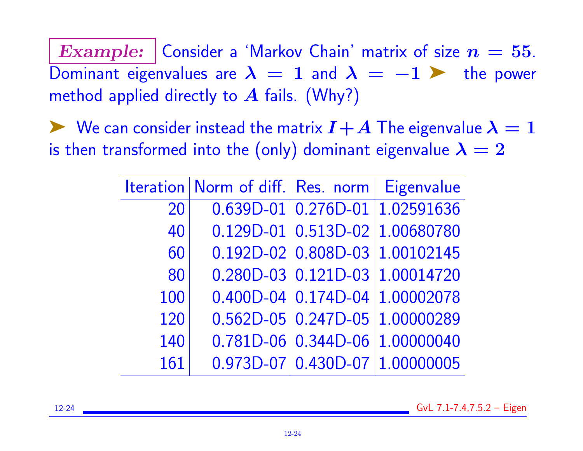Example: Consider a 'Markov Chain' matrix of size  $n = 55$ . Dominant eigenvalues are  $\lambda = 1$  and  $\lambda = -1$   $\triangleright$  the power method applied directly to  $A$  fails. (Why?)

 $\blacktriangleright$  We can consider instead the matrix  $I+A$  The eigenvalue  $\lambda = 1$ is then transformed into the (only) dominant eigenvalue  $\lambda = 2$ 

|     | Iteration   Norm of diff.   Res. norm   Eigenvalue |                                  |
|-----|----------------------------------------------------|----------------------------------|
| 20  |                                                    | $0.639D-01$ 0.276D-01 1.02591636 |
| 40  |                                                    | $0.129D-01$ 0.513D-02 1.00680780 |
| 60  |                                                    | $0.192D-02$ 0.808D-03 1.00102145 |
| 80  |                                                    | $0.280D-03$ 0.121D-03 1.00014720 |
| 100 |                                                    | $0.400D-04$ 0.174D-04 1.00002078 |
| 120 |                                                    | $0.562D-05$ 0.247D-05 1.00000289 |
| 140 |                                                    | 0.781D-06 0.344D-06 1.00000040   |
| 161 |                                                    | $0.973D-07$ 0.430D-07 1.00000005 |

12-24 GvL 7.1-7.4,7.5.2 – Eigen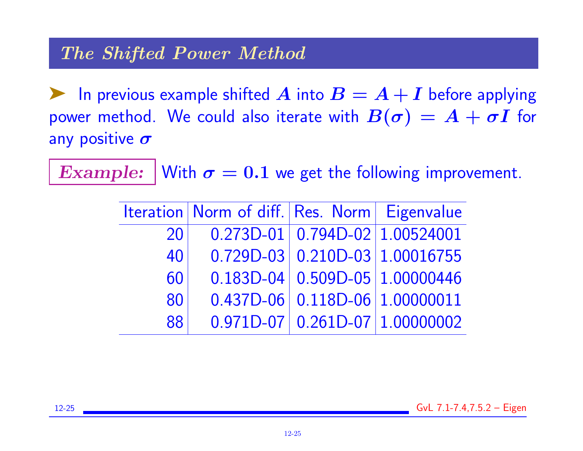**EX** In previous example shifted A into  $B = A + I$  before applying power method. We could also iterate with  $B(\sigma) = A + \sigma I$  for any positive  $\sigma$ 

Example: With  $\sigma = 0.1$  we get the following improvement.

|    | Iteration   Norm of diff.   Res. Norm   Eigenvalue |                                  |
|----|----------------------------------------------------|----------------------------------|
| 20 |                                                    | $0.273D-01$ 0.794D-02 1.00524001 |
| 40 |                                                    | $0.729D-03$ 0.210D-03 1.00016755 |
| 60 |                                                    | $0.183D-04$ 0.509D-05 1.00000446 |
| 80 |                                                    | $0.437D-06$ 0.118D-06 1.00000011 |
| 88 |                                                    | $0.971D-07$ 0.261D-07 1.00000002 |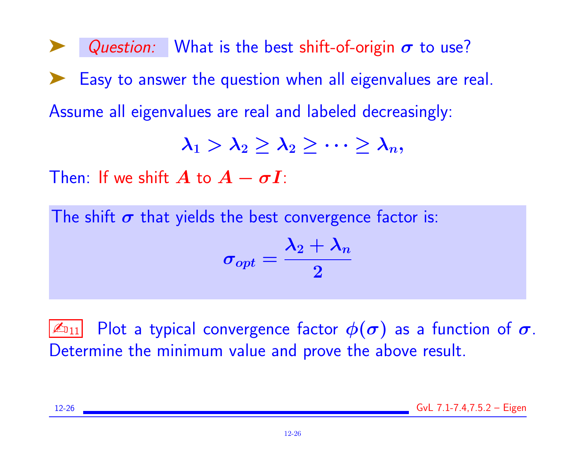Question: What is the best shift-of-origin  $\sigma$  to use? Easy to answer the question when all eigenvalues are real. Assume all eigenvalues are real and labeled decreasingly:

$$
\lambda_1 > \lambda_2 \geq \lambda_2 \geq \cdots \geq \lambda_n,
$$

Then: If we shift  $A$  to  $A - \sigma I$ :

The shift  $\sigma$  that yields the best convergence factor is:

$$
\sigma_{opt}=\frac{\lambda_2+\lambda_n}{2}
$$

 $|\mathbb{Z}_{011}|$  Plot a typical convergence factor  $\phi(\sigma)$  as a function of  $\sigma.$ Determine the minimum value and prove the above result.

12-26 GvL 7.1-7.4,7.5.2 – Eigen